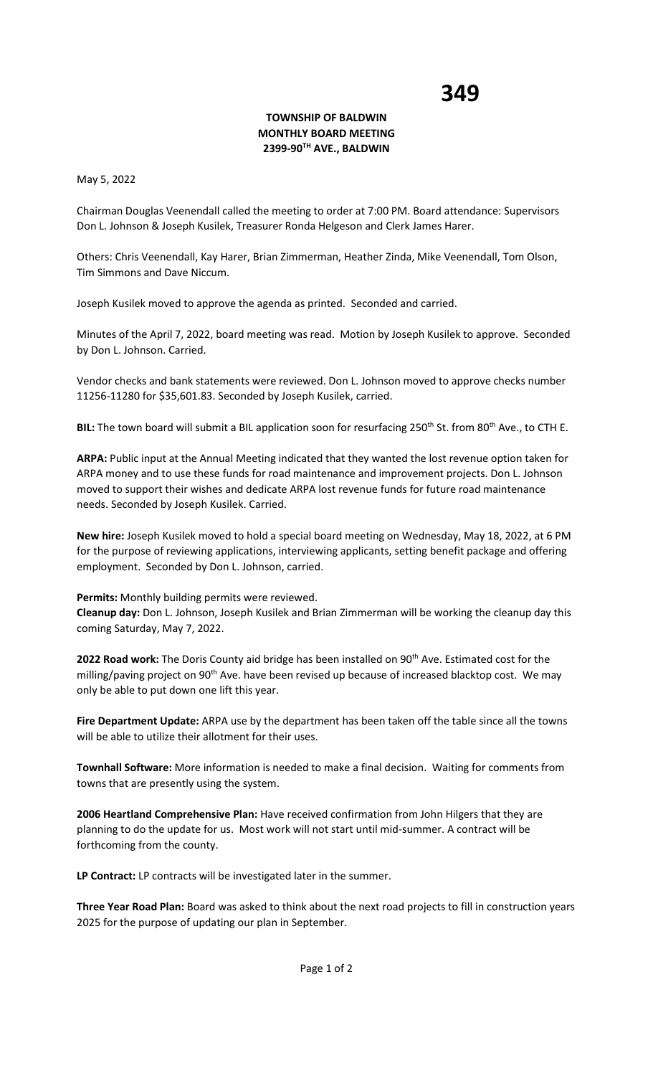## **TOWNSHIP OF BALDWIN MONTHLY BOARD MEETING 2399-90TH AVE., BALDWIN**

May 5, 2022

Chairman Douglas Veenendall called the meeting to order at 7:00 PM. Board attendance: Supervisors Don L. Johnson & Joseph Kusilek, Treasurer Ronda Helgeson and Clerk James Harer.

Others: Chris Veenendall, Kay Harer, Brian Zimmerman, Heather Zinda, Mike Veenendall, Tom Olson, Tim Simmons and Dave Niccum.

Joseph Kusilek moved to approve the agenda as printed. Seconded and carried.

Minutes of the April 7, 2022, board meeting was read. Motion by Joseph Kusilek to approve. Seconded by Don L. Johnson. Carried.

Vendor checks and bank statements were reviewed. Don L. Johnson moved to approve checks number 11256-11280 for \$35,601.83. Seconded by Joseph Kusilek, carried.

**BIL:** The town board will submit a BIL application soon for resurfacing 250<sup>th</sup> St. from 80<sup>th</sup> Ave., to CTH E.

**ARPA:** Public input at the Annual Meeting indicated that they wanted the lost revenue option taken for ARPA money and to use these funds for road maintenance and improvement projects. Don L. Johnson moved to support their wishes and dedicate ARPA lost revenue funds for future road maintenance needs. Seconded by Joseph Kusilek. Carried.

**New hire:** Joseph Kusilek moved to hold a special board meeting on Wednesday, May 18, 2022, at 6 PM for the purpose of reviewing applications, interviewing applicants, setting benefit package and offering employment. Seconded by Don L. Johnson, carried.

**Permits:** Monthly building permits were reviewed.

**Cleanup day:** Don L. Johnson, Joseph Kusilek and Brian Zimmerman will be working the cleanup day this coming Saturday, May 7, 2022.

2022 Road work: The Doris County aid bridge has been installed on 90<sup>th</sup> Ave. Estimated cost for the milling/paving project on 90<sup>th</sup> Ave. have been revised up because of increased blacktop cost. We may only be able to put down one lift this year.

**Fire Department Update:** ARPA use by the department has been taken off the table since all the towns will be able to utilize their allotment for their uses.

**Townhall Software:** More information is needed to make a final decision. Waiting for comments from towns that are presently using the system.

**2006 Heartland Comprehensive Plan:** Have received confirmation from John Hilgers that they are planning to do the update for us. Most work will not start until mid-summer. A contract will be forthcoming from the county.

**LP Contract:** LP contracts will be investigated later in the summer.

**Three Year Road Plan:** Board was asked to think about the next road projects to fill in construction years 2025 for the purpose of updating our plan in September.